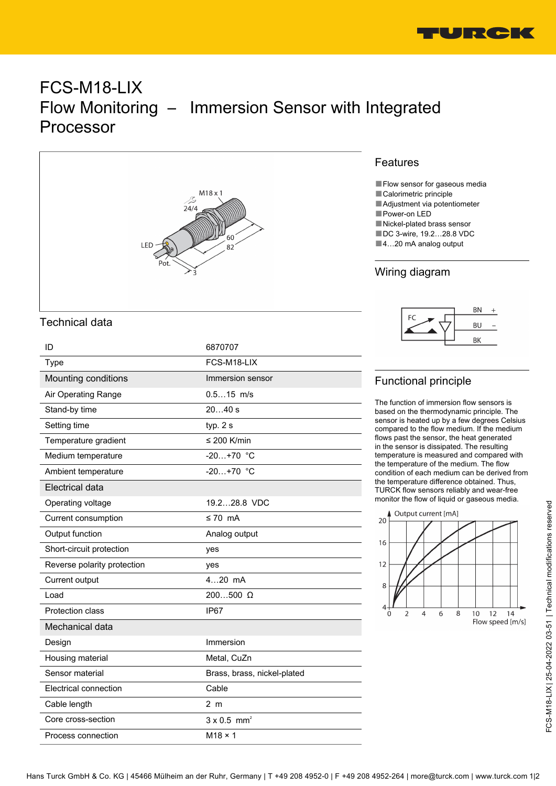

# FCS-M18-LIX Flow Monitoring – Immersion Sensor with Integrated Processor



### Technical data

| ID                          | 6870707                        |
|-----------------------------|--------------------------------|
| Type                        | FCS-M18-LIX                    |
| Mounting conditions         | Immersion sensor               |
| Air Operating Range         | $0.515$ m/s                    |
| Stand-by time               | 2040 s                         |
| Setting time                | typ. $2s$                      |
| Temperature gradient        | ≤ 200 K/min                    |
| Medium temperature          | $-20+70$ °C                    |
| Ambient temperature         | $-20+70$ °C                    |
| Electrical data             |                                |
| Operating voltage           | 19.228.8 VDC                   |
| Current consumption         | $\leq 70$ mA                   |
| Output function             | Analog output                  |
| Short-circuit protection    | yes                            |
| Reverse polarity protection | yes                            |
| Current output              | $420$ mA                       |
| Load                        | $200500$ $\Omega$              |
| Protection class            | IP <sub>67</sub>               |
| Mechanical data             |                                |
| Design                      | Immersion                      |
| Housing material            | Metal, CuZn                    |
| Sensor material             | Brass, brass, nickel-plated    |
| Electrical connection       | Cable                          |
| Cable length                | 2 <sub>m</sub>                 |
| Core cross-section          | $3 \times 0.5$ mm <sup>2</sup> |
| Process connection          | $M18 \times 1$                 |

#### Features

■ Flow sensor for gaseous media

- Calorimetric principle
- ■Adjustment via potentiometer
- ■Power-on LED
- ■Nickel-plated brass sensor ■DC 3-wire, 19.2...28.8 VDC
- ■4…20 mA analog output

## Wiring diagram



# Functional principle

The function of immersion flow sensors is based on the thermodynamic principle. The sensor is heated up by a few degrees Celsius compared to the flow medium. If the medium flows past the sensor, the heat generated in the sensor is dissipated. The resulting temperature is measured and compared with the temperature of the medium. The flow condition of each medium can be derived from the temperature difference obtained. Thus, TURCK flow sensors reliably and wear-free monitor the flow of liquid or gaseous media.